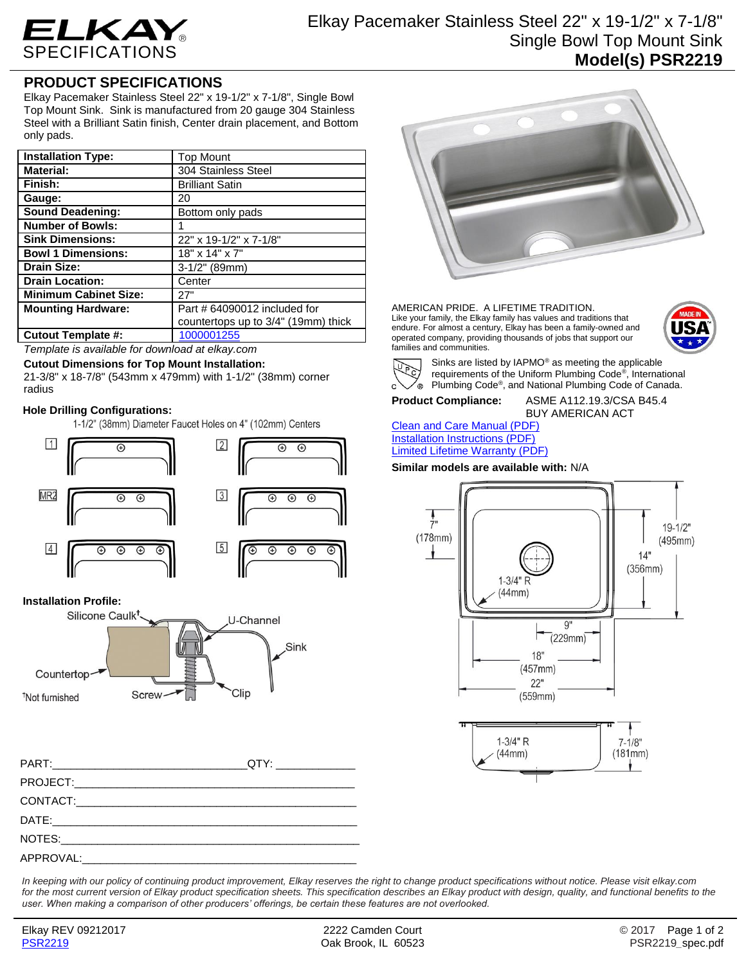

# Elkay Pacemaker Stainless Steel 22" x 19-1/2" x 7-1/8" Single Bowl Top Mount Sink **Model(s) PSR2219**

## **PRODUCT SPECIFICATIONS**

Elkay Pacemaker Stainless Steel 22" x 19-1/2" x 7-1/8", Single Bowl Top Mount Sink. Sink is manufactured from 20 gauge 304 Stainless Steel with a Brilliant Satin finish, Center drain placement, and Bottom only pads.

| <b>Installation Type:</b>    | <b>Top Mount</b>                    |
|------------------------------|-------------------------------------|
| <b>Material:</b>             | 304 Stainless Steel                 |
| Finish:                      | <b>Brilliant Satin</b>              |
| Gauge:                       | 20                                  |
| <b>Sound Deadening:</b>      | Bottom only pads                    |
| <b>Number of Bowls:</b>      |                                     |
| <b>Sink Dimensions:</b>      | 22" x 19-1/2" x 7-1/8"              |
| <b>Bowl 1 Dimensions:</b>    | 18" x 14" x 7"                      |
| <b>Drain Size:</b>           | $3-1/2$ " (89mm)                    |
| <b>Drain Location:</b>       | Center                              |
| <b>Minimum Cabinet Size:</b> | 27"                                 |
| <b>Mounting Hardware:</b>    | Part # 64090012 included for        |
|                              | countertops up to 3/4" (19mm) thick |
| Cutout Template #:           | 1000001255                          |

*Template is available for download at elkay.com*

#### **Cutout Dimensions for Top Mount Installation:**

21-3/8" x 18-7/8" (543mm x 479mm) with 1-1/2" (38mm) corner radius

#### **Hole Drilling Configurations:**

1-1/2" (38mm) Diameter Faucet Holes on 4" (102mm) Centers



#### **Installation Profile:**



*In keeping with our policy of continuing product improvement, Elkay reserves the right to change product specifications without notice. Please visit elkay.com*  for the most current version of Elkay product specification sheets. This specification describes an Elkay product with design, quality, and functional benefits to the *user. When making a comparison of other producers' offerings, be certain these features are not overlooked.*



AMERICAN PRIDE. A LIFETIME TRADITION. Like your family, the Elkay family has values and traditions that endure. For almost a century, Elkay has been a family-owned and operated company, providing thousands of jobs that support our families and communities.





Sinks are listed by IAPMO® as meeting the applicable requirements of the Uniform Plumbing Code® , International Plumbing Code® , and National Plumbing Code of Canada.

## **Product Compliance:** ASME A112.19.3/CSA B45.4

BUY AMERICAN ACT

[Clean and Care Manual \(PDF\)](http://www.elkay.com/wcsstore/lkdocs/care-cleaning-install-warranty-sheets/residential%20and%20commercial%20care%20%20cleaning.pdf) [Installation Instructions \(PDF\)](http://www.elkay.com/wcsstore/lkdocs/care-cleaning-install-warranty-sheets/74180147.pdf) [Limited Lifetime Warranty](http://www.elkay.com/wcsstore/lkdocs/care-cleaning-install-warranty-sheets/residential%20sinks%20warranty.pdf) (PDF)

**Similar models are available with:** N/A